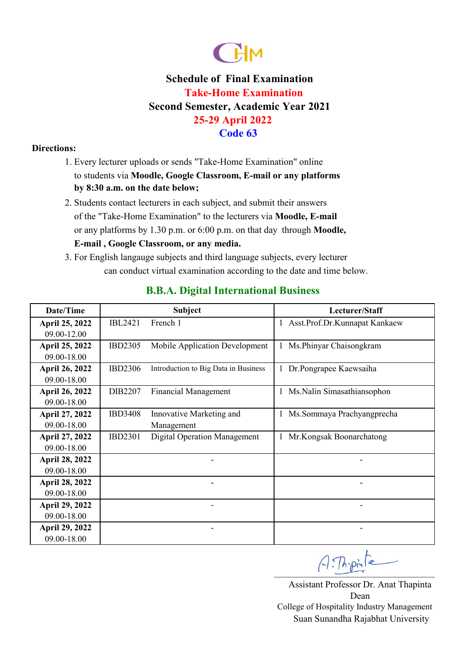

#### **Directions:**

- 1. Every lecturer uploads or sends "Take-Home Examination" online to students via **Moodle, Google Classroom, E-mail or any platforms by 8:30 a.m. on the date below;**
- or any platforms by 1.30 p.m. or 6:00 p.m. on that day through **Moodle,**  2. Students contact lecturers in each subject, and submit their answers of the "Take-Home Examination" to the lecturers via **Moodle, E-mail E-mail , Google Classroom, or any media.**
- 3. For English langauge subjects and third language subjects, every lecturer can conduct virtual examination according to the date and time below.

| Date/Time             |                | <b>Subject</b>                       | Lecturer/Staff                   |  |
|-----------------------|----------------|--------------------------------------|----------------------------------|--|
| April 25, 2022        | <b>IBL2421</b> | French 1                             | 1 Asst.Prof.Dr.Kunnapat Kankaew  |  |
| 09.00-12.00           |                |                                      |                                  |  |
| April 25, 2022        | <b>IBD2305</b> | Mobile Application Development       | Ms. Phinyar Chaisongkram<br>1    |  |
| 09.00-18.00           |                |                                      |                                  |  |
| <b>April 26, 2022</b> | <b>IBD2306</b> | Introduction to Big Data in Business | 1 Dr.Pongrapee Kaewsaiha         |  |
| 09.00-18.00           |                |                                      |                                  |  |
| <b>April 26, 2022</b> | DIB2207        | <b>Financial Management</b>          | Ms. Nalin Simasathiansophon<br>1 |  |
| 09.00-18.00           |                |                                      |                                  |  |
| April 27, 2022        | <b>IBD3408</b> | Innovative Marketing and             | 1 Ms.Sommaya Prachyangprecha     |  |
| 09.00-18.00           |                | Management                           |                                  |  |
| April 27, 2022        | <b>IBD2301</b> | <b>Digital Operation Management</b>  | Mr.Kongsak Boonarchatong         |  |
| 09.00-18.00           |                |                                      |                                  |  |
| <b>April 28, 2022</b> |                |                                      |                                  |  |
| 09.00-18.00           |                |                                      |                                  |  |
| <b>April 28, 2022</b> |                |                                      |                                  |  |
| 09.00-18.00           |                |                                      |                                  |  |
| <b>April 29, 2022</b> |                |                                      |                                  |  |
| 09.00-18.00           |                |                                      |                                  |  |
| <b>April 29, 2022</b> |                |                                      |                                  |  |
| 09.00-18.00           |                |                                      |                                  |  |

## **B.B.A. Digital International Business**

 $A:Th{\cdot}pi$ 

Assistant Professor Dr. Anat Thapinta Dean Suan Sunandha Rajabhat University College of Hospitality Industry Management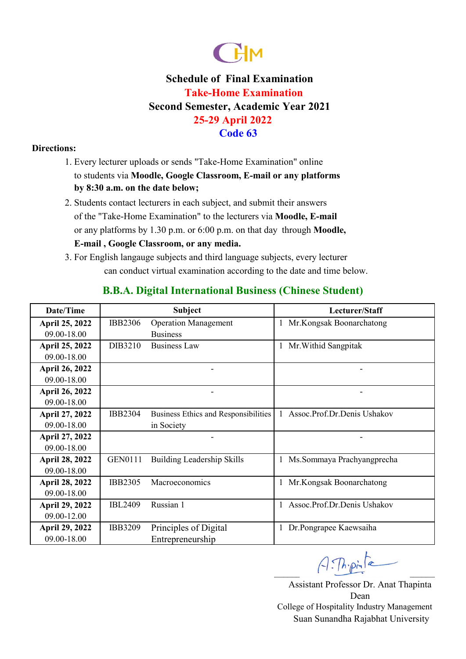

#### **Directions:**

- 1. Every lecturer uploads or sends "Take-Home Examination" online to students via **Moodle, Google Classroom, E-mail or any platforms by 8:30 a.m. on the date below;**
- or any platforms by 1.30 p.m. or 6:00 p.m. on that day through **Moodle,**  2. Students contact lecturers in each subject, and submit their answers of the "Take-Home Examination" to the lecturers via **Moodle, E-mail E-mail , Google Classroom, or any media.**
- 3. For English langauge subjects and third language subjects, every lecturer can conduct virtual examination according to the date and time below.

| Date/Time             |                | <b>Subject</b>                       | Lecturer/Staff              |
|-----------------------|----------------|--------------------------------------|-----------------------------|
| April 25, 2022        | <b>IBB2306</b> | <b>Operation Management</b>          | Mr.Kongsak Boonarchatong    |
| 09.00-18.00           |                | <b>Business</b>                      |                             |
| April 25, 2022        | DIB3210        | <b>Business Law</b>                  | Mr. Withid Sangpitak        |
| 09.00-18.00           |                |                                      |                             |
| <b>April 26, 2022</b> |                |                                      |                             |
| 09.00-18.00           |                |                                      |                             |
| <b>April 26, 2022</b> |                |                                      |                             |
| 09.00-18.00           |                |                                      |                             |
| April 27, 2022        | <b>IBB2304</b> | Business Ethics and Responsibilities | Assoc.Prof.Dr.Denis Ushakov |
| 09.00-18.00           |                | in Society                           |                             |
| April 27, 2022        |                |                                      |                             |
| 09.00-18.00           |                |                                      |                             |
| <b>April 28, 2022</b> | <b>GEN0111</b> | Building Leadership Skills           | Ms.Sommaya Prachyangprecha  |
| 09.00-18.00           |                |                                      |                             |
| <b>April 28, 2022</b> | <b>IBB2305</b> | Macroeconomics                       | Mr.Kongsak Boonarchatong    |
| 09.00-18.00           |                |                                      |                             |
| <b>April 29, 2022</b> | <b>IBL2409</b> | Russian 1                            | Assoc.Prof.Dr.Denis Ushakov |
| 09.00-12.00           |                |                                      |                             |
| <b>April 29, 2022</b> | <b>IBB3209</b> | Principles of Digital                | Dr.Pongrapee Kaewsaiha      |
| 09.00-18.00           |                | Entrepreneurship                     |                             |

## **B.B.A. Digital International Business (Chinese Student)**

 $A:Th. point$ 

Assistant Professor Dr. Anat Thapinta Dean Suan Sunandha Rajabhat University College of Hospitality Industry Management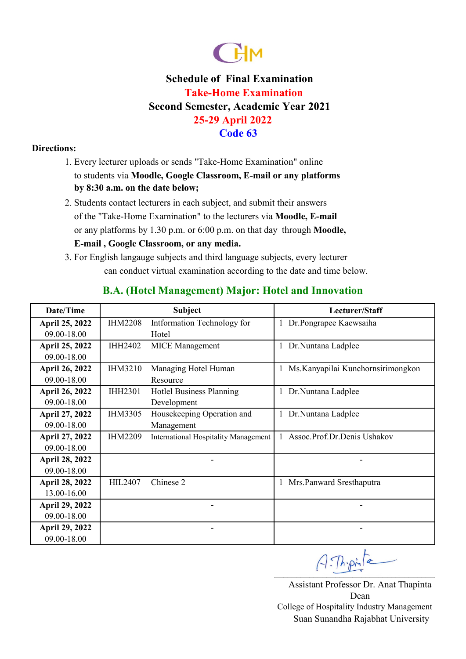

#### **Directions:**

- 1. Every lecturer uploads or sends "Take-Home Examination" online to students via **Moodle, Google Classroom, E-mail or any platforms by 8:30 a.m. on the date below;**
- or any platforms by 1.30 p.m. or 6:00 p.m. on that day through **Moodle,**  2. Students contact lecturers in each subject, and submit their answers of the "Take-Home Examination" to the lecturers via **Moodle, E-mail E-mail , Google Classroom, or any media.**
- 3. For English langauge subjects and third language subjects, every lecturer can conduct virtual examination according to the date and time below.

| Date/Time             | <b>Subject</b> |                                             | Lecturer/Staff                     |  |
|-----------------------|----------------|---------------------------------------------|------------------------------------|--|
| April 25, 2022        | <b>IHM2208</b> | Intformation Technology for                 | Dr.Pongrapee Kaewsaiha             |  |
| 09.00-18.00           |                | Hotel                                       |                                    |  |
| April 25, 2022        | <b>IHH2402</b> | <b>MICE</b> Management                      | Dr.Nuntana Ladplee                 |  |
| 09.00-18.00           |                |                                             |                                    |  |
| <b>April 26, 2022</b> | <b>IHM3210</b> | Managing Hotel Human                        | Ms. Kanyapilai Kunchornsirimongkon |  |
| 09.00-18.00           |                | Resource                                    |                                    |  |
| <b>April 26, 2022</b> | <b>IHH2301</b> | Hotlel Business Planning                    | Dr.Nuntana Ladplee                 |  |
| 09.00-18.00           |                | Development                                 |                                    |  |
| April 27, 2022        | <b>IHM3305</b> | Housekeeping Operation and                  | Dr.Nuntana Ladplee                 |  |
| 09.00-18.00           |                | Management                                  |                                    |  |
| April 27, 2022        | <b>IHM2209</b> | <b>International Hospitality Management</b> | Assoc.Prof.Dr.Denis Ushakov        |  |
| 09.00-18.00           |                |                                             |                                    |  |
| <b>April 28, 2022</b> |                |                                             |                                    |  |
| 09.00-18.00           |                |                                             |                                    |  |
| <b>April 28, 2022</b> | HIL2407        | Chinese 2                                   | Mrs.Panward Sresthaputra           |  |
| 13.00-16.00           |                |                                             |                                    |  |
| <b>April 29, 2022</b> |                |                                             |                                    |  |
| 09.00-18.00           |                |                                             |                                    |  |
| <b>April 29, 2022</b> |                |                                             |                                    |  |
| 09.00-18.00           |                |                                             |                                    |  |

## **B.A. (Hotel Management) Major: Hotel and Innovation**

 $A:Th{\cdot}pi$ 

Assistant Professor Dr. Anat Thapinta Dean Suan Sunandha Rajabhat University College of Hospitality Industry Management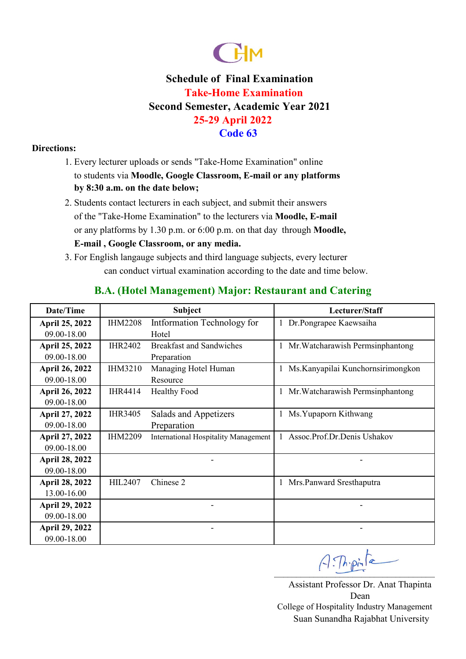

#### **Directions:**

- 1. Every lecturer uploads or sends "Take-Home Examination" online to students via **Moodle, Google Classroom, E-mail or any platforms by 8:30 a.m. on the date below;**
- or any platforms by 1.30 p.m. or 6:00 p.m. on that day through **Moodle,**  2. Students contact lecturers in each subject, and submit their answers of the "Take-Home Examination" to the lecturers via **Moodle, E-mail E-mail , Google Classroom, or any media.**
- 3. For English langauge subjects and third language subjects, every lecturer can conduct virtual examination according to the date and time below.

| Date/Time             | <b>Subject</b> |                                      | Lecturer/Staff                          |
|-----------------------|----------------|--------------------------------------|-----------------------------------------|
| <b>April 25, 2022</b> | <b>IHM2208</b> | Intformation Technology for          | Dr.Pongrapee Kaewsaiha<br>1             |
| 09.00-18.00           |                | Hotel                                |                                         |
| April 25, 2022        | <b>IHR2402</b> | <b>Breakfast and Sandwiches</b>      | 1 Mr. Watcharawish Permsinphantong      |
| 09.00-18.00           |                | Preparation                          |                                         |
| <b>April 26, 2022</b> | <b>IHM3210</b> | Managing Hotel Human                 | Ms. Kanyapilai Kunchornsirimongkon<br>1 |
| 09.00-18.00           |                | Resource                             |                                         |
| <b>April 26, 2022</b> | <b>IHR4414</b> | <b>Healthy Food</b>                  | Mr. Watcharawish Permsinphantong<br>1   |
| 09.00-18.00           |                |                                      |                                         |
| April 27, 2022        | <b>IHR3405</b> | Salads and Appetizers                | Ms. Yupaporn Kithwang<br>1              |
| 09.00-18.00           |                | Preparation                          |                                         |
| April 27, 2022        | <b>IHM2209</b> | International Hospitality Management | Assoc.Prof.Dr.Denis Ushakov             |
| 09.00-18.00           |                |                                      |                                         |
| <b>April 28, 2022</b> |                |                                      |                                         |
| 09.00-18.00           |                |                                      |                                         |
| <b>April 28, 2022</b> | <b>HIL2407</b> | Chinese 2                            | Mrs.Panward Sresthaputra<br>1           |
| 13.00-16.00           |                |                                      |                                         |
| <b>April 29, 2022</b> |                |                                      |                                         |
| 09.00-18.00           |                |                                      |                                         |
| <b>April 29, 2022</b> |                |                                      |                                         |
| 09.00-18.00           |                |                                      |                                         |

## **B.A. (Hotel Management) Major: Restaurant and Catering**

 $A:Th{\cdot}pi$ 

Assistant Professor Dr. Anat Thapinta Dean Suan Sunandha Rajabhat University College of Hospitality Industry Management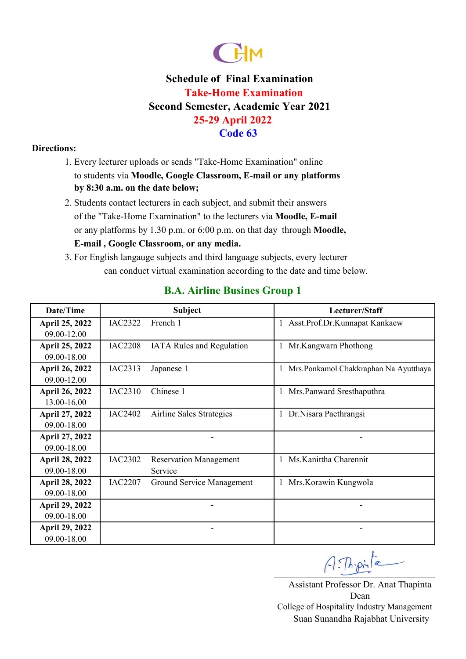

#### **Directions:**

- 1. Every lecturer uploads or sends "Take-Home Examination" online to students via **Moodle, Google Classroom, E-mail or any platforms by 8:30 a.m. on the date below;**
- or any platforms by 1.30 p.m. or 6:00 p.m. on that day through **Moodle,**  2. Students contact lecturers in each subject, and submit their answers of the "Take-Home Examination" to the lecturers via **Moodle, E-mail E-mail , Google Classroom, or any media.**
- 3. For English langauge subjects and third language subjects, every lecturer can conduct virtual examination according to the date and time below.

|  |  | <b>B.A. Airline Busines Group 1</b> |  |  |
|--|--|-------------------------------------|--|--|
|--|--|-------------------------------------|--|--|

| Date/Time             |                | <b>Subject</b>                   | Lecturer/Staff                             |
|-----------------------|----------------|----------------------------------|--------------------------------------------|
| <b>April 25, 2022</b> | <b>IAC2322</b> | French 1                         | 1 Asst.Prof.Dr.Kunnapat Kankaew            |
| 09.00-12.00           |                |                                  |                                            |
| <b>April 25, 2022</b> | <b>IAC2208</b> | <b>IATA Rules and Regulation</b> | Mr.Kangwarn Phothong<br>1                  |
| 09.00-18.00           |                |                                  |                                            |
| <b>April 26, 2022</b> | IAC2313        | Japanese 1                       | Mrs.Ponkamol Chakkraphan Na Ayutthaya<br>1 |
| 09.00-12.00           |                |                                  |                                            |
| <b>April 26, 2022</b> | IAC2310        | Chinese 1                        | Mrs.Panward Sresthaputhra<br>T             |
| 13.00-16.00           |                |                                  |                                            |
| April 27, 2022        | <b>IAC2402</b> | Airline Sales Strategies         | Dr. Nisara Paethrangsi<br>1                |
| 09.00-18.00           |                |                                  |                                            |
| April 27, 2022        |                |                                  |                                            |
| 09.00-18.00           |                |                                  |                                            |
| <b>April 28, 2022</b> | <b>IAC2302</b> | <b>Reservation Management</b>    | Ms. Kanittha Charennit<br>1                |
| 09.00-18.00           |                | Service                          |                                            |
| <b>April 28, 2022</b> | <b>IAC2207</b> | Ground Service Management        | Mrs.Korawin Kungwola                       |
| 09.00-18.00           |                |                                  |                                            |
| <b>April 29, 2022</b> |                |                                  |                                            |
| 09.00-18.00           |                |                                  |                                            |
| <b>April 29, 2022</b> |                |                                  |                                            |
| 09.00-18.00           |                |                                  |                                            |

 $A:Th:pinfe$ 

Assistant Professor Dr. Anat Thapinta Dean Suan Sunandha Rajabhat University College of Hospitality Industry Management